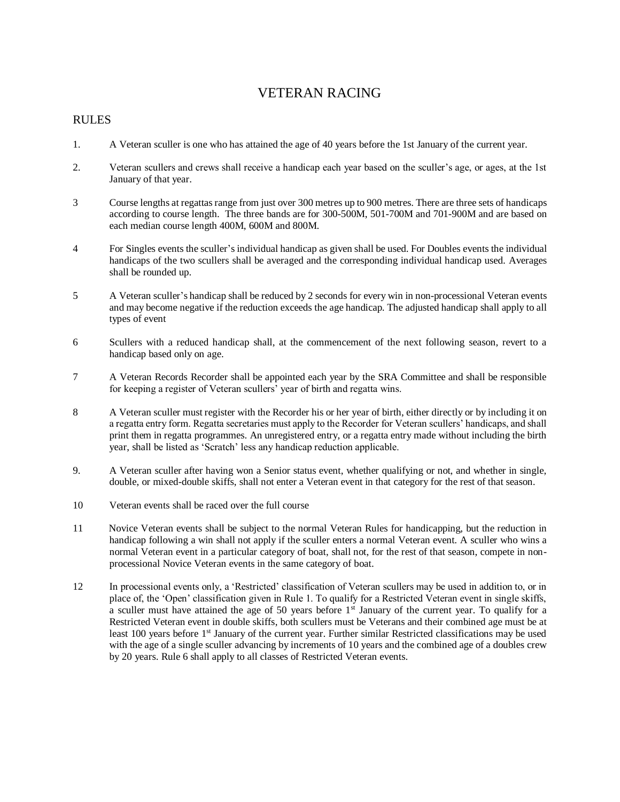## VETERAN RACING

## RULES

- 1. A Veteran sculler is one who has attained the age of 40 years before the 1st January of the current year.
- 2. Veteran scullers and crews shall receive a handicap each year based on the sculler's age, or ages, at the 1st January of that year.
- 3 Course lengths at regattas range from just over 300 metres up to 900 metres. There are three sets of handicaps according to course length. The three bands are for 300-500M, 501-700M and 701-900M and are based on each median course length 400M, 600M and 800M.
- 4 For Singles events the sculler's individual handicap as given shall be used. For Doubles events the individual handicaps of the two scullers shall be averaged and the corresponding individual handicap used. Averages shall be rounded up.
- 5 A Veteran sculler's handicap shall be reduced by 2 seconds for every win in non-processional Veteran events and may become negative if the reduction exceeds the age handicap. The adjusted handicap shall apply to all types of event
- 6 Scullers with a reduced handicap shall, at the commencement of the next following season, revert to a handicap based only on age.
- 7 A Veteran Records Recorder shall be appointed each year by the SRA Committee and shall be responsible for keeping a register of Veteran scullers' year of birth and regatta wins.
- 8 A Veteran sculler must register with the Recorder his or her year of birth, either directly or by including it on a regatta entry form. Regatta secretaries must apply to the Recorder for Veteran scullers' handicaps, and shall print them in regatta programmes. An unregistered entry, or a regatta entry made without including the birth year, shall be listed as 'Scratch' less any handicap reduction applicable.
- 9. A Veteran sculler after having won a Senior status event, whether qualifying or not, and whether in single, double, or mixed-double skiffs, shall not enter a Veteran event in that category for the rest of that season.
- 10 Veteran events shall be raced over the full course
- 11 Novice Veteran events shall be subject to the normal Veteran Rules for handicapping, but the reduction in handicap following a win shall not apply if the sculler enters a normal Veteran event. A sculler who wins a normal Veteran event in a particular category of boat, shall not, for the rest of that season, compete in nonprocessional Novice Veteran events in the same category of boat.
- 12 In processional events only, a 'Restricted' classification of Veteran scullers may be used in addition to, or in place of, the 'Open' classification given in Rule 1. To qualify for a Restricted Veteran event in single skiffs, a sculler must have attained the age of 50 years before 1<sup>st</sup> January of the current year. To qualify for a Restricted Veteran event in double skiffs, both scullers must be Veterans and their combined age must be at least 100 years before 1<sup>st</sup> January of the current year. Further similar Restricted classifications may be used with the age of a single sculler advancing by increments of 10 years and the combined age of a doubles crew by 20 years. Rule 6 shall apply to all classes of Restricted Veteran events.